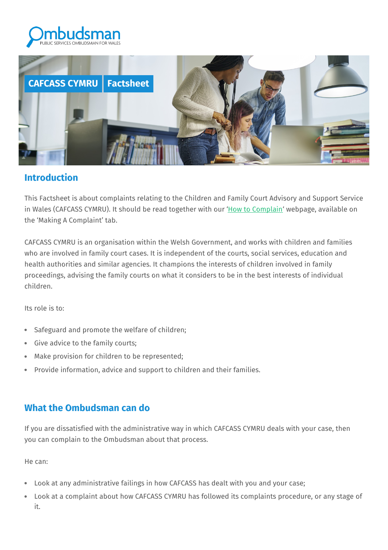



#### **Introduction**

This Factsheet is about complaints relating to the Children and Family Court Advisory and Support Service in Wales (CAFCASS CYMRU). It should be read together with our 'How to [Complain'](https://www.ombudsman.wales/how-to-complain/) webpage, available on the 'Making A Complaint' tab.

CAFCASS CYMRU is an organisation within the Welsh Government, and works with children and families who are involved in family court cases. It is independent of the courts, social services, education and health authorities and similar agencies. It champions the interests of children involved in family proceedings, advising the family courts on what it considers to be in the best interests of individual children.

Its role is to:

- Safeguard and promote the welfare of children;
- Give advice to the family courts;
- Make provision for children to be represented;
- Provide information, advice and support to children and their families.

## **What the Ombudsman can do**

If you are dissatisfied with the administrative way in which CAFCASS CYMRU deals with your case, then you can complain to the Ombudsman about that process.

He can:

- Look at any administrative failings in how CAFCASS has dealt with you and your case;
- Look at a complaint about how CAFCASS CYMRU has followed its complaints procedure, or any stage of it.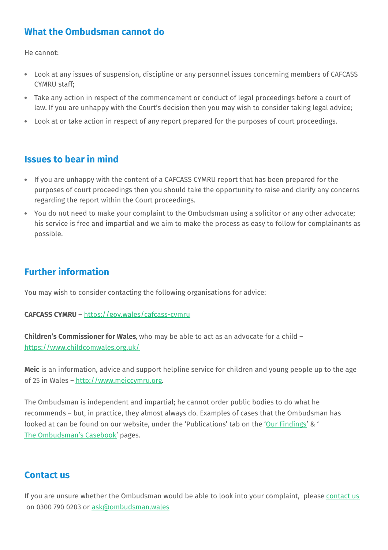# **What the Ombudsman cannot do**

He cannot:

- Look at any issues of suspension, discipline or any personnel issues concerning members of CAFCASS CYMRU staff;
- Take any action in respect of the commencement or conduct of legal proceedings before a court of law. If you are unhappy with the Court's decision then you may wish to consider taking legal advice;
- Look at or take action in respect of any report prepared for the purposes of court proceedings.

## **Issues to bear in mind**

- If you are unhappy with the content of a CAFCASS CYMRU report that has been prepared for the purposes of court proceedings then you should take the opportunity to raise and clarify any concerns regarding the report within the Court proceedings.
- You do not need to make your complaint to the Ombudsman using a solicitor or any other advocate; his service is free and impartial and we aim to make the process as easy to follow for complainants as possible.

# **Further information**

You may wish to consider contacting the following organisations for advice:

#### **CAFCASS CYMRU** – <https://gov.wales/cafcass-cymru>

**Children's Commissioner for Wales**, who may be able to act as an advocate for a child – <https://www.childcomwales.org.uk/>

**Meic** is an information, advice and support helpline service for children and young people up to the age of 25 in Wales - <http://www.meiccymru.org>.

The Ombudsman is independent and impartial; he cannot order public bodies to do what he recommends – but, in practice, they almost always do. Examples of cases that the Ombudsman has looked at can be found on our website, under the 'Publications' tab on the 'Our [Findings](https://www.ombudsman.wales/findings/)' & ' The [Ombudsman's](https://www.ombudsman.wales/case-books/) Casebook' pages.

#### **Contact us**

If you are unsure whether the Ombudsman would be able to look into your complaint, please [contact](https://www.ombudsman.wales/contactus/) us on 0300 790 0203 or [ask@ombudsman.wales](mailto:ask@ombudsman.wales)